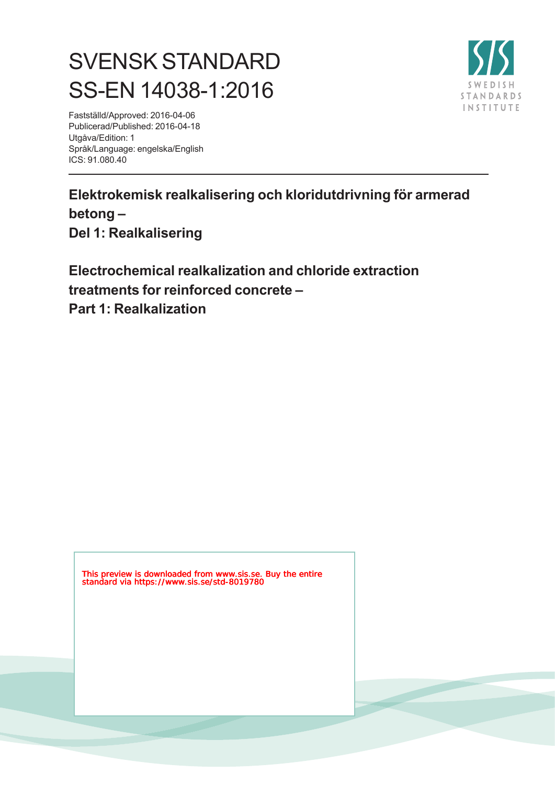# SVENSK STANDARD SS-EN 14038-1:2016



Fastställd/Approved: 2016-04-06 Publicerad/Published: 2016-04-18 Utgåva/Edition: 1 Språk/Language: engelska/English ICS: 91.080.40

# **Elektrokemisk realkalisering och kloridutdrivning för armerad betong – Del 1: Realkalisering**

**Electrochemical realkalization and chloride extraction treatments for reinforced concrete – Part 1: Realkalization**

This preview is downloaded from www.sis.se. Buy the entire standard via https://www.sis.se/std-8019780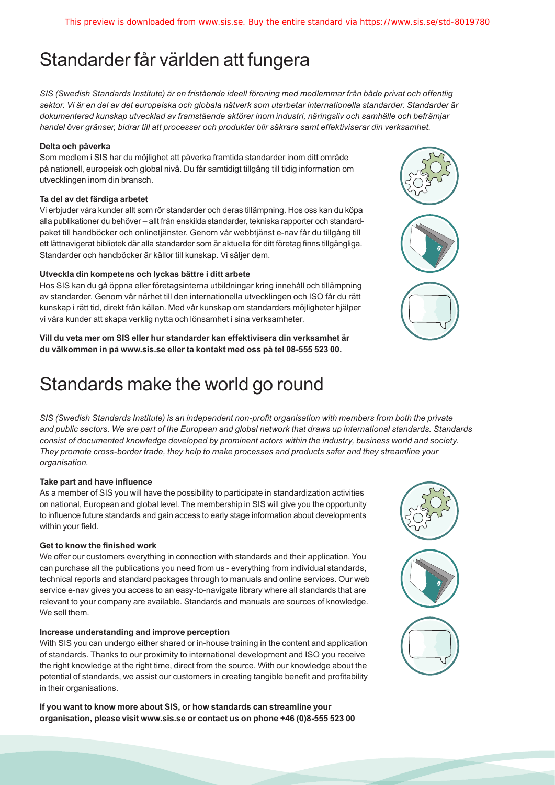# Standarder får världen att fungera

*SIS (Swedish Standards Institute) är en fristående ideell förening med medlemmar från både privat och offentlig sektor. Vi är en del av det europeiska och globala nätverk som utarbetar internationella standarder. Standarder är dokumenterad kunskap utvecklad av framstående aktörer inom industri, näringsliv och samhälle och befrämjar handel över gränser, bidrar till att processer och produkter blir säkrare samt effektiviserar din verksamhet.* 

#### **Delta och påverka**

Som medlem i SIS har du möjlighet att påverka framtida standarder inom ditt område på nationell, europeisk och global nivå. Du får samtidigt tillgång till tidig information om utvecklingen inom din bransch.

#### **Ta del av det färdiga arbetet**

Vi erbjuder våra kunder allt som rör standarder och deras tillämpning. Hos oss kan du köpa alla publikationer du behöver – allt från enskilda standarder, tekniska rapporter och standardpaket till handböcker och onlinetjänster. Genom vår webbtjänst e-nav får du tillgång till ett lättnavigerat bibliotek där alla standarder som är aktuella för ditt företag finns tillgängliga. Standarder och handböcker är källor till kunskap. Vi säljer dem.

#### **Utveckla din kompetens och lyckas bättre i ditt arbete**

Hos SIS kan du gå öppna eller företagsinterna utbildningar kring innehåll och tillämpning av standarder. Genom vår närhet till den internationella utvecklingen och ISO får du rätt kunskap i rätt tid, direkt från källan. Med vår kunskap om standarders möjligheter hjälper vi våra kunder att skapa verklig nytta och lönsamhet i sina verksamheter.

**Vill du veta mer om SIS eller hur standarder kan effektivisera din verksamhet är du välkommen in på www.sis.se eller ta kontakt med oss på tel 08-555 523 00.**

# Standards make the world go round

*SIS (Swedish Standards Institute) is an independent non-profit organisation with members from both the private and public sectors. We are part of the European and global network that draws up international standards. Standards consist of documented knowledge developed by prominent actors within the industry, business world and society. They promote cross-border trade, they help to make processes and products safer and they streamline your organisation.*

#### **Take part and have influence**

As a member of SIS you will have the possibility to participate in standardization activities on national, European and global level. The membership in SIS will give you the opportunity to influence future standards and gain access to early stage information about developments within your field.

#### **Get to know the finished work**

We offer our customers everything in connection with standards and their application. You can purchase all the publications you need from us - everything from individual standards, technical reports and standard packages through to manuals and online services. Our web service e-nav gives you access to an easy-to-navigate library where all standards that are relevant to your company are available. Standards and manuals are sources of knowledge. We sell them.

#### **Increase understanding and improve perception**

With SIS you can undergo either shared or in-house training in the content and application of standards. Thanks to our proximity to international development and ISO you receive the right knowledge at the right time, direct from the source. With our knowledge about the potential of standards, we assist our customers in creating tangible benefit and profitability in their organisations.

**If you want to know more about SIS, or how standards can streamline your organisation, please visit www.sis.se or contact us on phone +46 (0)8-555 523 00**



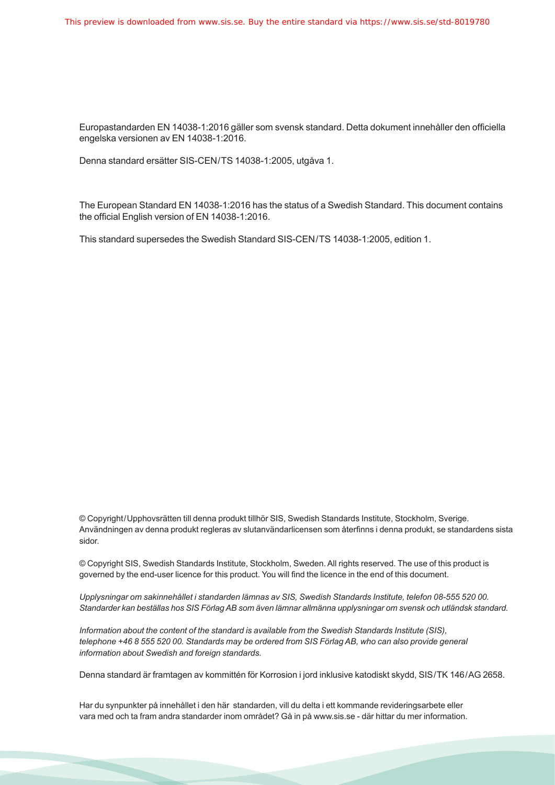Europastandarden EN 14038-1:2016 gäller som svensk standard. Detta dokument innehåller den officiella engelska versionen av EN 14038-1:2016.

Denna standard ersätter SIS-CEN / TS 14038-1:2005, utgåva 1.

The European Standard EN 14038-1:2016 has the status of a Swedish Standard. This document contains the official English version of EN 14038-1:2016.

This standard supersedes the Swedish Standard SIS-CEN / TS 14038-1:2005, edition 1.

© Copyright / Upphovsrätten till denna produkt tillhör SIS, Swedish Standards Institute, Stockholm, Sverige. Användningen av denna produkt regleras av slutanvändarlicensen som återfinns i denna produkt, se standardens sista sidor.

© Copyright SIS, Swedish Standards Institute, Stockholm, Sweden. All rights reserved. The use of this product is governed by the end-user licence for this product. You will find the licence in the end of this document.

*Upplysningar om sakinnehållet i standarden lämnas av SIS, Swedish Standards Institute, telefon 08-555 520 00. Standarder kan beställas hos SIS Förlag AB som även lämnar allmänna upplysningar om svensk och utländsk standard.*

*Information about the content of the standard is available from the Swedish Standards Institute (SIS), telephone +46 8 555 520 00. Standards may be ordered from SIS Förlag AB, who can also provide general information about Swedish and foreign standards.*

Denna standard är framtagen av kommittén för Korrosion i jord inklusive katodiskt skydd, SIS / TK 146 / AG 2658.

Har du synpunkter på innehållet i den här standarden, vill du delta i ett kommande revideringsarbete eller vara med och ta fram andra standarder inom området? Gå in på www.sis.se - där hittar du mer information.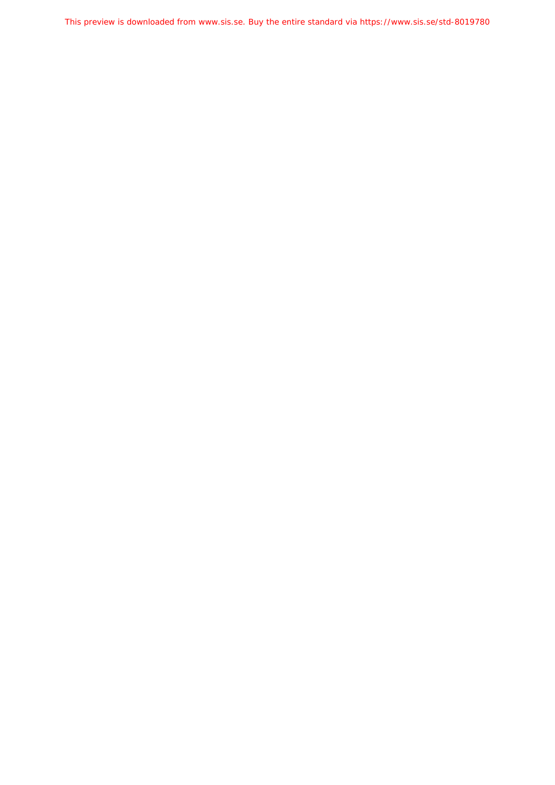This preview is downloaded from www.sis.se. Buy the entire standard via https://www.sis.se/std-8019780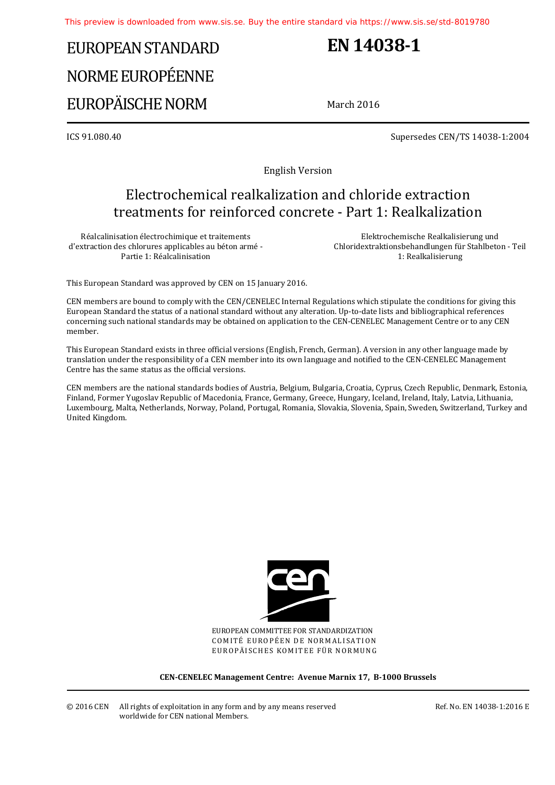# EUROPEAN STANDARD NORME EUROPÉENNE EUROPÄISCHE NORM

# **EN 14038-1**

March 2016

ICS 91.080.40 Supersedes CEN/TS 14038-1:2004

English Version

## Electrochemical realkalization and chloride extraction treatments for reinforced concrete - Part 1: Realkalization

Réalcalinisation électrochimique et traitements d'extraction des chlorures applicables au béton armé - Partie 1: Réalcalinisation

Elektrochemische Realkalisierung und Chloridextraktionsbehandlungen für Stahlbeton - Teil 1: Realkalisierung

This European Standard was approved by CEN on 15 January 2016.

CEN members are bound to comply with the CEN/CENELEC Internal Regulations which stipulate the conditions for giving this European Standard the status of a national standard without any alteration. Up-to-date lists and bibliographical references concerning such national standards may be obtained on application to the CEN-CENELEC Management Centre or to any CEN member.

This European Standard exists in three official versions (English, French, German). A version in any other language made by translation under the responsibility of a CEN member into its own language and notified to the CEN-CENELEC Management Centre has the same status as the official versions.

CEN members are the national standards bodies of Austria, Belgium, Bulgaria, Croatia, Cyprus, Czech Republic, Denmark, Estonia, Finland, Former Yugoslav Republic of Macedonia, France, Germany, Greece, Hungary, Iceland, Ireland, Italy, Latvia, Lithuania, Luxembourg, Malta, Netherlands, Norway, Poland, Portugal, Romania, Slovakia, Slovenia, Spain, Sweden, Switzerland, Turkey and United Kingdom.



EUROPEAN COMMITTEE FOR STANDARDIZATION COMITÉ EUROPÉEN DE NORMALISATION EUROPÄISCHES KOMITEE FÜR NORMUNG

**CEN-CENELEC Management Centre: Avenue Marnix 17, B-1000 Brussels**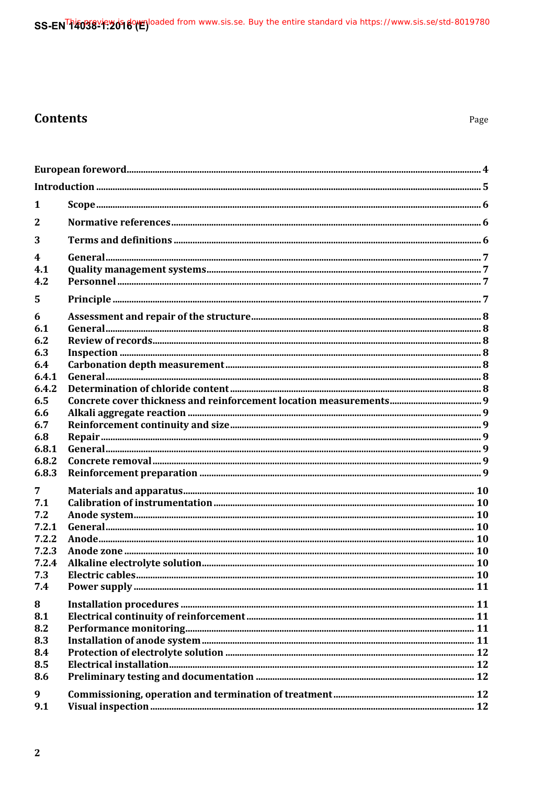SS-EN<sup>Thifo38Yf:2019780</sup> 6<sup>o</sup>(世) oaded from www.sis.se. Buy the entire standard via https://www.sis.se/std-8019780

## **Contents**

| 1              |  |  |  |
|----------------|--|--|--|
| $\mathbf{2}$   |  |  |  |
| 3              |  |  |  |
| 4              |  |  |  |
| 4.1<br>4.2     |  |  |  |
|                |  |  |  |
| 5              |  |  |  |
| 6              |  |  |  |
| 6.1<br>6.2     |  |  |  |
| 6.3            |  |  |  |
| 6.4            |  |  |  |
| 6.4.1          |  |  |  |
| 6.4.2<br>6.5   |  |  |  |
| 6.6            |  |  |  |
| 6.7            |  |  |  |
| 6.8            |  |  |  |
| 6.8.1          |  |  |  |
| 6.8.2<br>6.8.3 |  |  |  |
|                |  |  |  |
| 7              |  |  |  |
| 7.1<br>7.2     |  |  |  |
| 7.2.1          |  |  |  |
| 7.2.2          |  |  |  |
| 7.2.3          |  |  |  |
| 7.2.4          |  |  |  |
| 7.3<br>7.4     |  |  |  |
|                |  |  |  |
| 8              |  |  |  |
| 8.1<br>8.2     |  |  |  |
| 8.3            |  |  |  |
| 8.4            |  |  |  |
| 8.5            |  |  |  |
| 8.6            |  |  |  |
| 9              |  |  |  |
| 9.1            |  |  |  |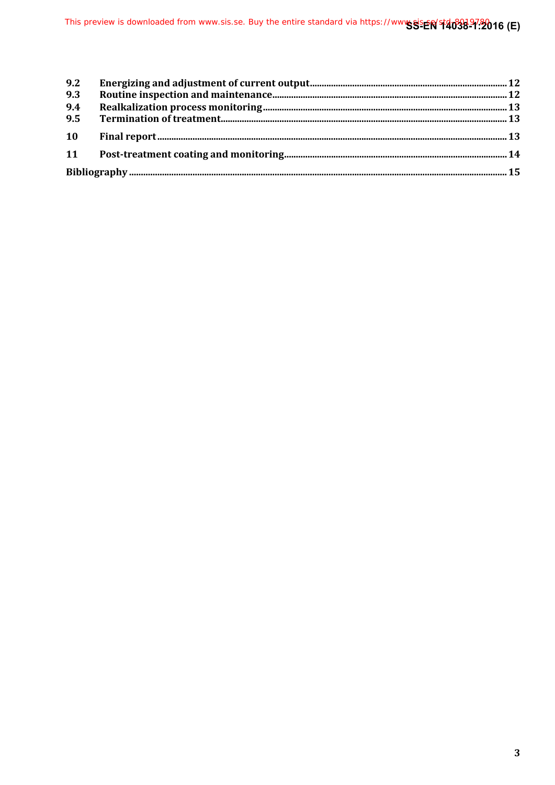| 9.3 |  |
|-----|--|
| 9.4 |  |
| 9.5 |  |
|     |  |
|     |  |
|     |  |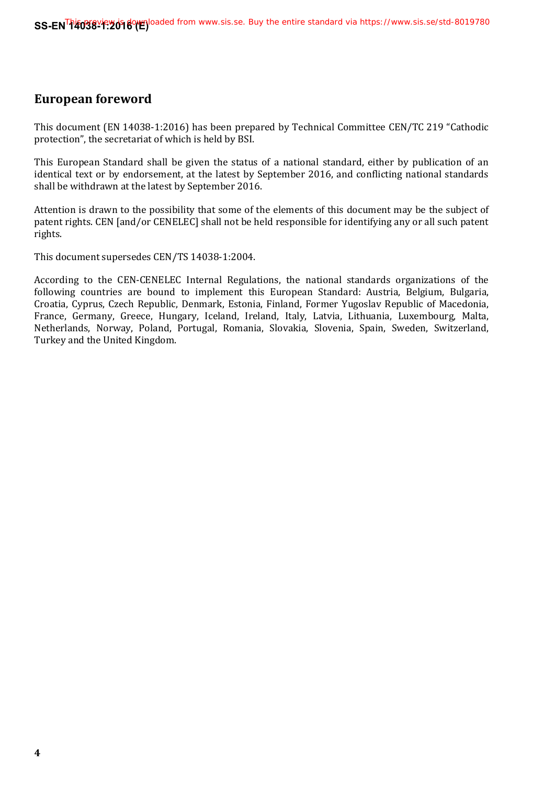## <span id="page-7-0"></span>**European foreword**

This document (EN 14038-1:2016) has been prepared by Technical Committee CEN/TC 219 "Cathodic protection", the secretariat of which is held by BSI.

This European Standard shall be given the status of a national standard, either by publication of an identical text or by endorsement, at the latest by September 2016, and conflicting national standards shall be withdrawn at the latest by September 2016.

Attention is drawn to the possibility that some of the elements of this document may be the subject of patent rights. CEN [and/or CENELEC] shall not be held responsible for identifying any or all such patent rights.

This document supersedes CEN/TS 14038-1:2004.

According to the CEN-CENELEC Internal Regulations, the national standards organizations of the following countries are bound to implement this European Standard: Austria, Belgium, Bulgaria, Croatia, Cyprus, Czech Republic, Denmark, Estonia, Finland, Former Yugoslav Republic of Macedonia, France, Germany, Greece, Hungary, Iceland, Ireland, Italy, Latvia, Lithuania, Luxembourg, Malta, Netherlands, Norway, Poland, Portugal, Romania, Slovakia, Slovenia, Spain, Sweden, Switzerland, Turkey and the United Kingdom.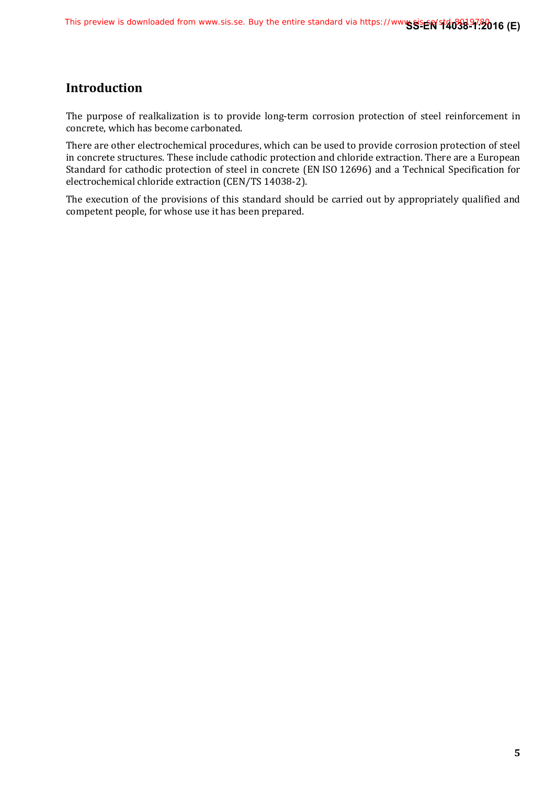## <span id="page-8-0"></span>**Introduction**

The purpose of realkalization is to provide long-term corrosion protection of steel reinforcement in concrete, which has become carbonated.

There are other electrochemical procedures, which can be used to provide corrosion protection of steel in concrete structures. These include cathodic protection and chloride extraction. There are a European Standard for cathodic protection of steel in concrete (EN ISO 12696) and a Technical Specification for electrochemical chloride extraction (CEN/TS 14038-2).

The execution of the provisions of this standard should be carried out by appropriately qualified and competent people, for whose use it has been prepared.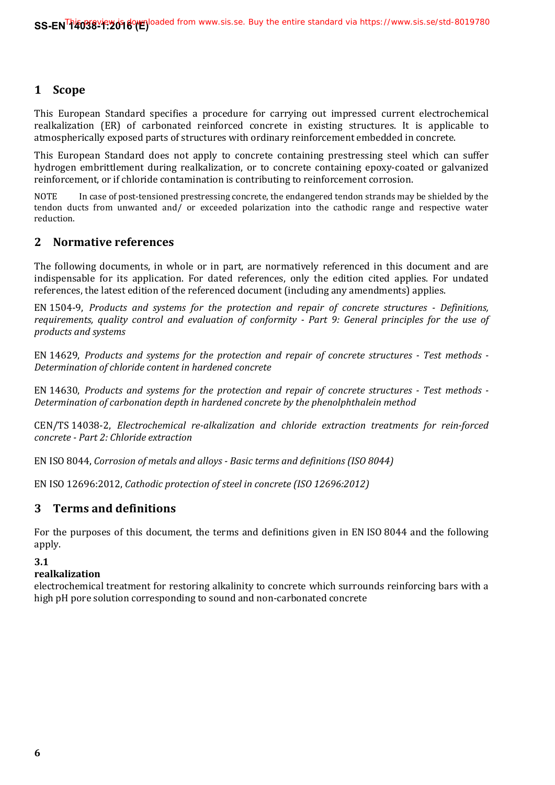## <span id="page-9-0"></span>**1 Scope**

This European Standard specifies a procedure for carrying out impressed current electrochemical realkalization (ER) of carbonated reinforced concrete in existing structures. It is applicable to atmospherically exposed parts of structures with ordinary reinforcement embedded in concrete.

This European Standard does not apply to concrete containing prestressing steel which can suffer hydrogen embrittlement during realkalization, or to concrete containing epoxy-coated or galvanized reinforcement, or if chloride contamination is contributing to reinforcement corrosion.

NOTE In case of post-tensioned prestressing concrete, the endangered tendon strands may be shielded by the tendon ducts from unwanted and/ or exceeded polarization into the cathodic range and respective water reduction.

### <span id="page-9-1"></span>**2 Normative references**

The following documents, in whole or in part, are normatively referenced in this document and are indispensable for its application. For dated references, only the edition cited applies. For undated references, the latest edition of the referenced document (including any amendments) applies.

EN 1504-9, *Products and systems for the protection and repair of concrete structures - Definitions, requirements, quality control and evaluation of conformity - Part 9: General principles for the use of products and systems*

EN 14629, *Products and systems for the protection and repair of concrete structures - Test methods - Determination of chloride content in hardened concrete*

EN 14630, *Products and systems for the protection and repair of concrete structures - Test methods - Determination of carbonation depth in hardened concrete by the phenolphthalein method*

CEN/TS 14038-2, *Electrochemical re-alkalization and chloride extraction treatments for rein-forced concrete - Part 2: Chloride extraction*

EN ISO 8044, *Corrosion of metals and alloys - Basic terms and definitions (ISO 8044)*

EN ISO 12696:2012, *Cathodic protection of steel in concrete (ISO 12696:2012)*

### <span id="page-9-2"></span>**3 Terms and definitions**

For the purposes of this document, the terms and definitions given in EN ISO 8044 and the following apply.

#### **3.1**

### **realkalization**

electrochemical treatment for restoring alkalinity to concrete which surrounds reinforcing bars with a high pH pore solution corresponding to sound and non-carbonated concrete